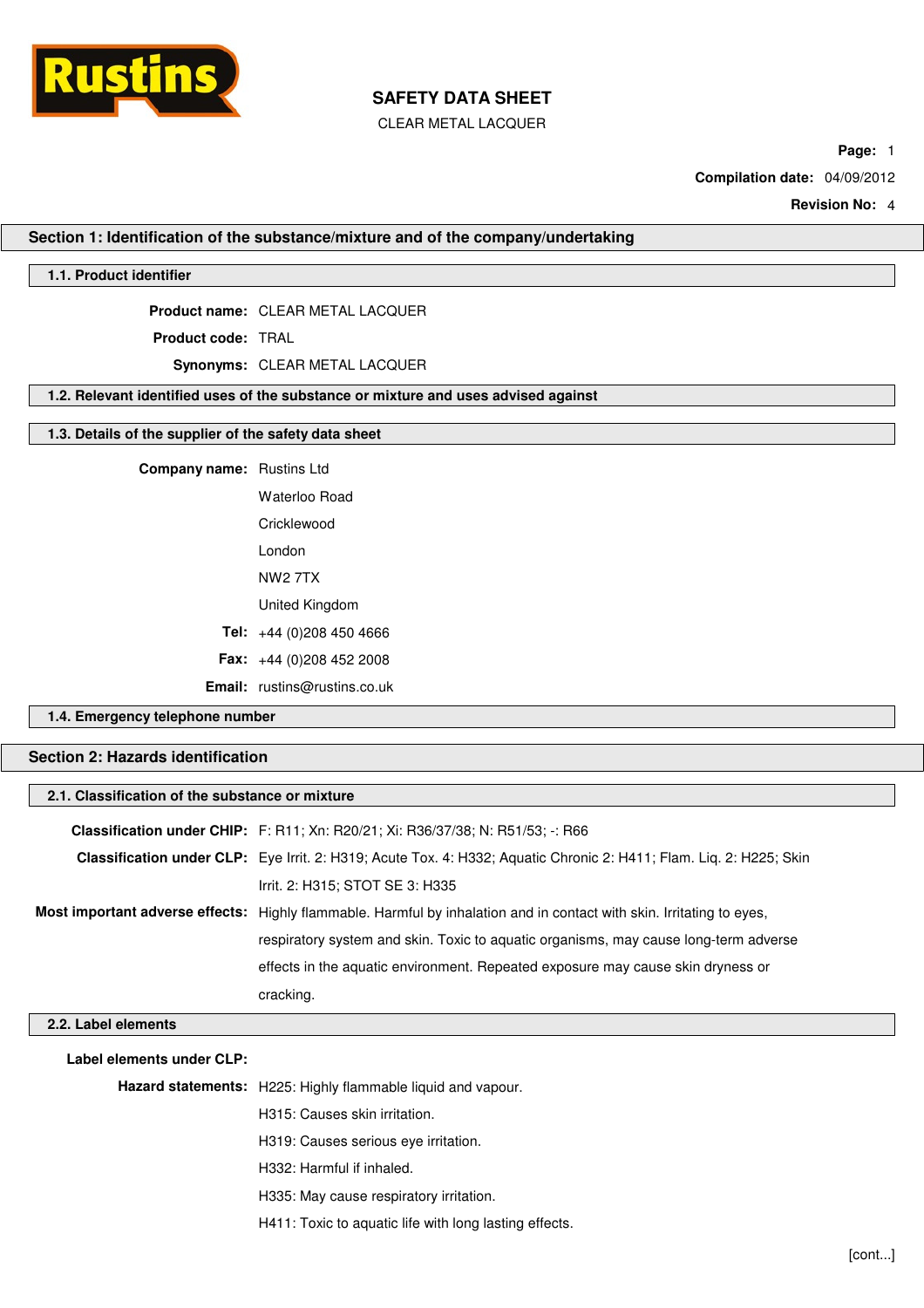

CLEAR METAL LACQUER

**Page:** 1

**Compilation date:** 04/09/2012

**Revision No:** 4

**Section 1: Identification of the substance/mixture and of the company/undertaking**

### **1.1. Product identifier**

**Product name:** CLEAR METAL LACQUER

**Product code:** TRAL

**Synonyms:** CLEAR METAL LACQUER

#### **1.2. Relevant identified uses of the substance or mixture and uses advised against**

#### **1.3. Details of the supplier of the safety data sheet**

| <b>Company name:</b> Rustins Ltd |                                     |
|----------------------------------|-------------------------------------|
|                                  | Waterloo Road                       |
|                                  | Cricklewood                         |
|                                  | I ondon                             |
|                                  | <b>NW2 7TX</b>                      |
|                                  | United Kingdom                      |
|                                  | <b>Tel:</b> $+44(0)2084504666$      |
|                                  | <b>Fax:</b> $+44(0)2084522008$      |
|                                  | <b>Email:</b> rustins@rustins.co.uk |

### **1.4. Emergency telephone number**

## **Section 2: Hazards identification**

| 2.1. Classification of the substance or mixture |                                                                                                                            |
|-------------------------------------------------|----------------------------------------------------------------------------------------------------------------------------|
|                                                 | <b>Classification under CHIP:</b> F: R11; Xn: R20/21; Xi: R36/37/38; N: R51/53; -: R66                                     |
|                                                 | <b>Classification under CLP:</b> Eye Irrit. 2: H319; Acute Tox. 4: H332; Aquatic Chronic 2: H411; Flam. Liq. 2: H225; Skin |
|                                                 | Irrit. 2: H315; STOT SE 3: H335                                                                                            |
|                                                 | Most important adverse effects: Highly flammable. Harmful by inhalation and in contact with skin. Irritating to eyes,      |
|                                                 | respiratory system and skin. Toxic to aquatic organisms, may cause long-term adverse                                       |
|                                                 | effects in the aquatic environment. Repeated exposure may cause skin dryness or                                            |
|                                                 | cracking.                                                                                                                  |
| 2.2. Label elements                             |                                                                                                                            |
| Label elements under CLP:                       | $\mathbf{H}$ and also contained the contribution of the contribution of $\mathbf{H}$                                       |

**Hazard statements:** H225: Highly flammable liquid and vapour.

H315: Causes skin irritation.

H319: Causes serious eye irritation.

H332: Harmful if inhaled.

H335: May cause respiratory irritation.

H411: Toxic to aquatic life with long lasting effects.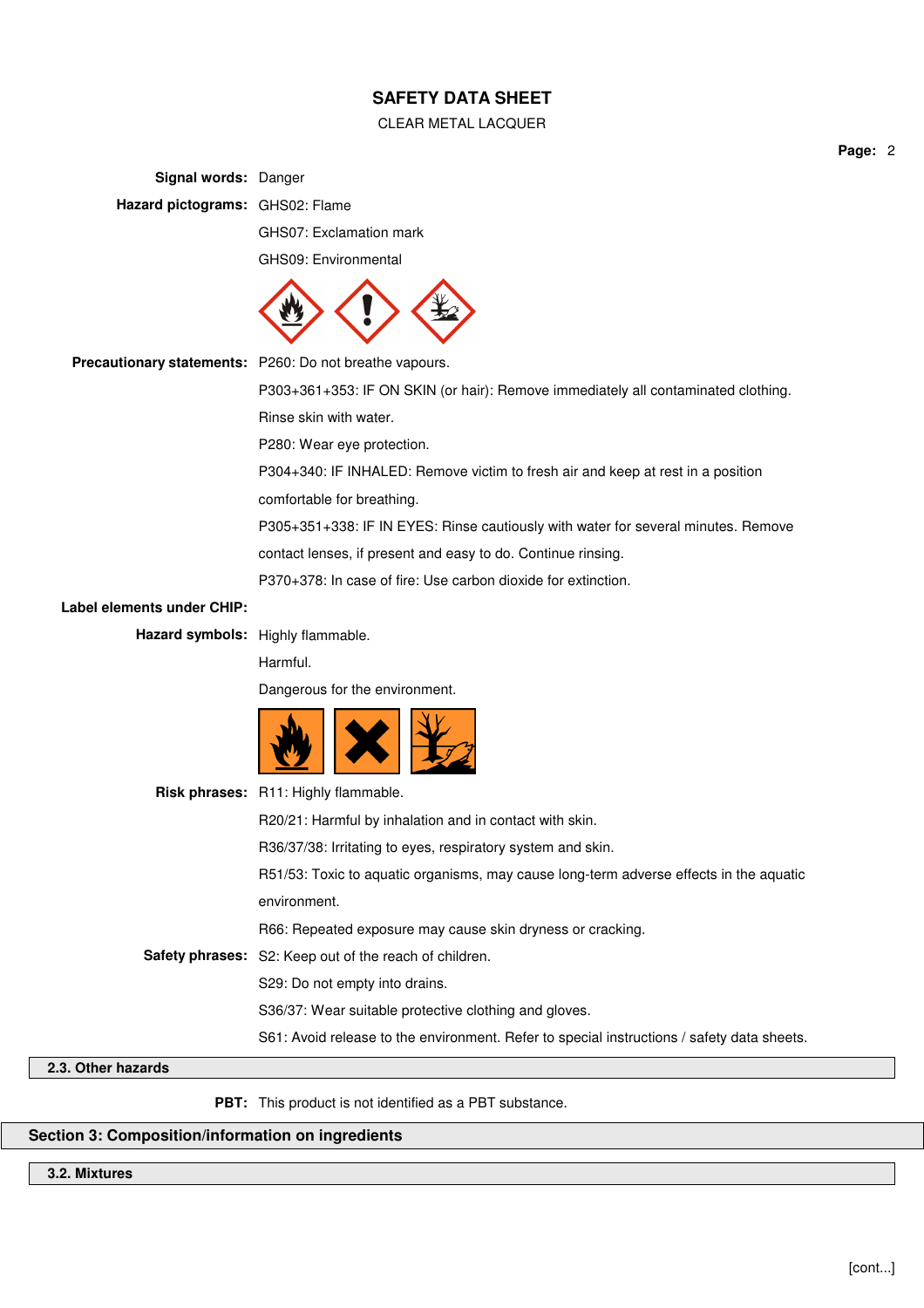#### CLEAR METAL LACQUER

**Signal words:** Danger **Hazard pictograms:** GHS02: Flame GHS07: Exclamation mark GHS09: Environmental **Precautionary statements:** P260: Do not breathe vapours. P303+361+353: IF ON SKIN (or hair): Remove immediately all contaminated clothing. Rinse skin with water. P280: Wear eye protection. P304+340: IF INHALED: Remove victim to fresh air and keep at rest in a position comfortable for breathing. P305+351+338: IF IN EYES: Rinse cautiously with water for several minutes. Remove contact lenses, if present and easy to do. Continue rinsing. P370+378: In case of fire: Use carbon dioxide for extinction. **Label elements under CHIP: Hazard symbols:** Highly flammable. Harmful. Dangerous for the environment. **Risk phrases:** R11: Highly flammable. R20/21: Harmful by inhalation and in contact with skin. R36/37/38: Irritating to eyes, respiratory system and skin. R51/53: Toxic to aquatic organisms, may cause long-term adverse effects in the aquatic environment. R66: Repeated exposure may cause skin dryness or cracking. **Safety phrases:** S2: Keep out of the reach of children. S29: Do not empty into drains. S36/37: Wear suitable protective clothing and gloves. S61: Avoid release to the environment. Refer to special instructions / safety data sheets.

### **2.3. Other hazards**

**PBT:** This product is not identified as a PBT substance.

## **Section 3: Composition/information on ingredients**

### **3.2. Mixtures**

**Page:** 2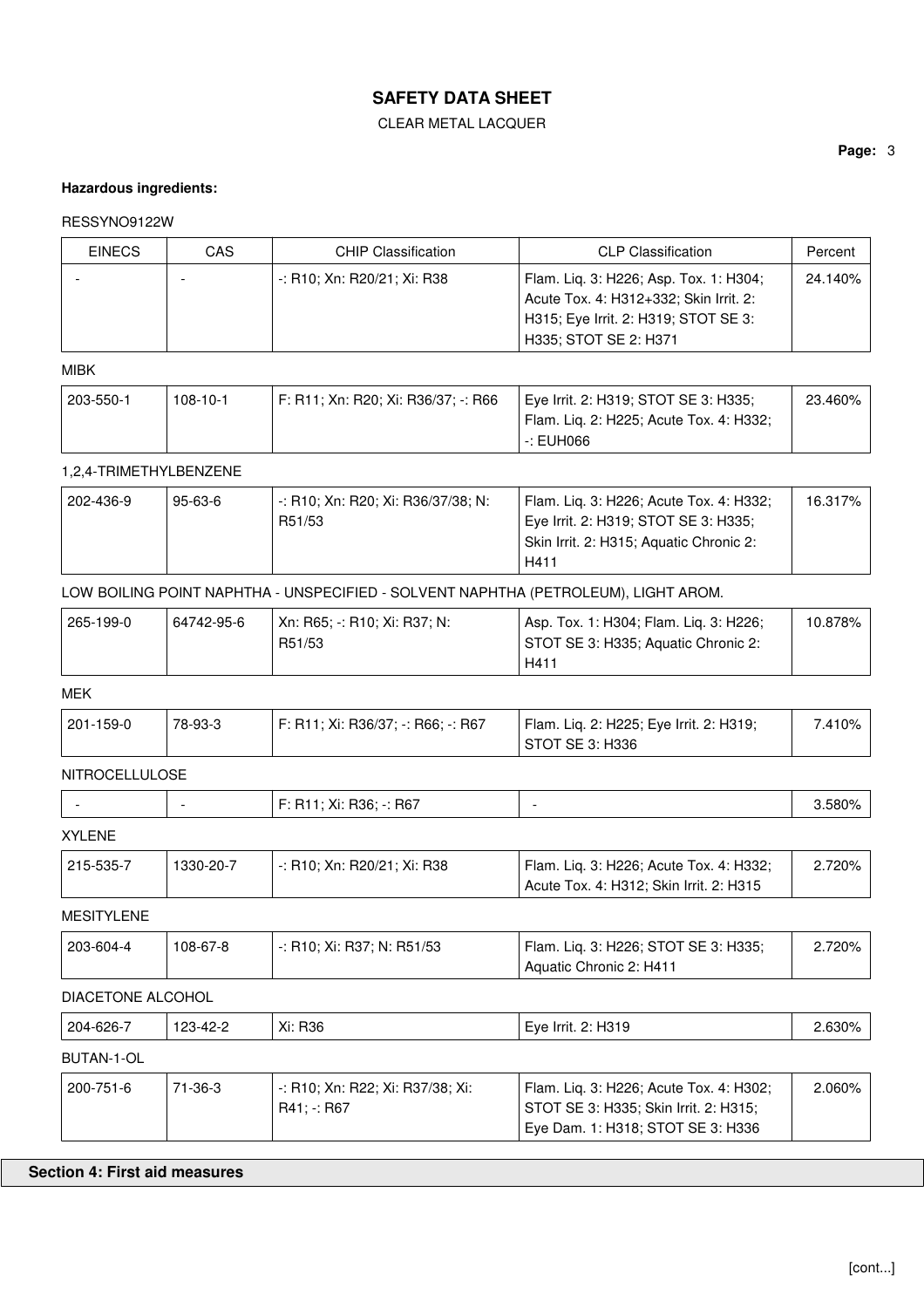### CLEAR METAL LACQUER

### **Hazardous ingredients:**

#### RESSYNO9122W

| <b>EINECS</b> | CAS | <b>CHIP Classification</b>  | <b>CLP Classification</b>              | Percent |
|---------------|-----|-----------------------------|----------------------------------------|---------|
|               |     | -: R10; Xn: R20/21; Xi: R38 | Flam. Lig. 3: H226; Asp. Tox. 1: H304; | 24.140% |
|               |     |                             | Acute Tox. 4: H312+332; Skin Irrit. 2: |         |
|               |     |                             | H315; Eye Irrit. 2: H319; STOT SE 3:   |         |
|               |     |                             | H335; STOT SE 2: H371                  |         |

### MIBK

| 203-550-1 | $108 - 10 - 1$ | 「F: R11; Xn: R20; Xi: R36/37; -: R66 | Eye Irrit. 2: H319; STOT SE 3: H335;                 | 23.460% |
|-----------|----------------|--------------------------------------|------------------------------------------------------|---------|
|           |                |                                      | <sup>'</sup> Flam. Lig. 2: H225; Acute Tox. 4: H332; |         |
|           |                |                                      | -: EUH066                                            |         |

### 1,2,4-TRIMETHYLBENZENE

| 202-436-9 | 95-63-6 | : -: R10; Xn: R20; Xi: R36/37/38; N: | Flam. Lig. 3: H226; Acute Tox. 4: H332; | 16.317% |
|-----------|---------|--------------------------------------|-----------------------------------------|---------|
|           |         | R51/53                               | Eye Irrit. 2: H319; STOT SE 3: H335;    |         |
|           |         |                                      | Skin Irrit. 2: H315; Aquatic Chronic 2: |         |
|           |         |                                      | H411                                    |         |

## LOW BOILING POINT NAPHTHA - UNSPECIFIED - SOLVENT NAPHTHA (PETROLEUM), LIGHT AROM.

| 265-199-0 | 64742-95-6 | ∣ Xn: R65: -: R10: Xi: R37: N: | Asp. Tox. 1: H304; Flam. Liq. 3: H226; | $10.878\%$ |
|-----------|------------|--------------------------------|----------------------------------------|------------|
|           |            | R51/53                         | STOT SE 3: H335; Aquatic Chronic 2:    |            |
|           |            |                                | H41                                    |            |

## MEK

| 201-159-0 | 78-93-3 | F: R11: Xi: R36/37: -: R66: -: R67 | Flam. Lig. 2: H225; Eye Irrit. 2: H319; | 7.410% i |
|-----------|---------|------------------------------------|-----------------------------------------|----------|
|           |         |                                    | ' STOT SE 3: H336                       |          |

## NITROCELLULOSE

| v:<br>580%<br>. . |  | R67<br>R36:<br>ΛI.<br>. | $\overline{1}$ |
|-------------------|--|-------------------------|----------------|
|                   |  |                         |                |

## XYLENE

| $+215 - 535 - 7$ | 1330-20-7 | -: R10: Xn: R20/21: Xi: R38 | Flam. Lig. 3: H226; Acute Tox. 4: H332; | 2.720% |
|------------------|-----------|-----------------------------|-----------------------------------------|--------|
|                  |           |                             | Acute Tox. 4: H312; Skin Irrit. 2: H315 |        |

### MESITYLENE

| 203-604-4 | 108-67-8 | -: R10: Xi: R37: N: R51/53 | Flam. Lig. 3: H226; STOT SE 3: H335; | 2.720% |
|-----------|----------|----------------------------|--------------------------------------|--------|
|           |          |                            | Aquatic Chronic 2: H411              |        |

### DIACETONE ALCOHOL

| 204-626-7  | 123-42-2 | Xi: R36                                         | Eye Irrit. 2: H319                                                                                                    | 2.630%    |
|------------|----------|-------------------------------------------------|-----------------------------------------------------------------------------------------------------------------------|-----------|
| BUTAN-1-OL |          |                                                 |                                                                                                                       |           |
| 200-751-6  | 71-36-3  | -: R10; Xn: R22; Xi: R37/38; Xi:<br>$R41: -R67$ | Flam. Liq. 3: H226; Acute Tox. 4: H302;<br>STOT SE 3: H335; Skin Irrit. 2: H315;<br>Eye Dam. 1: H318; STOT SE 3: H336 | $2.060\%$ |

## **Section 4: First aid measures**

**Page:** 3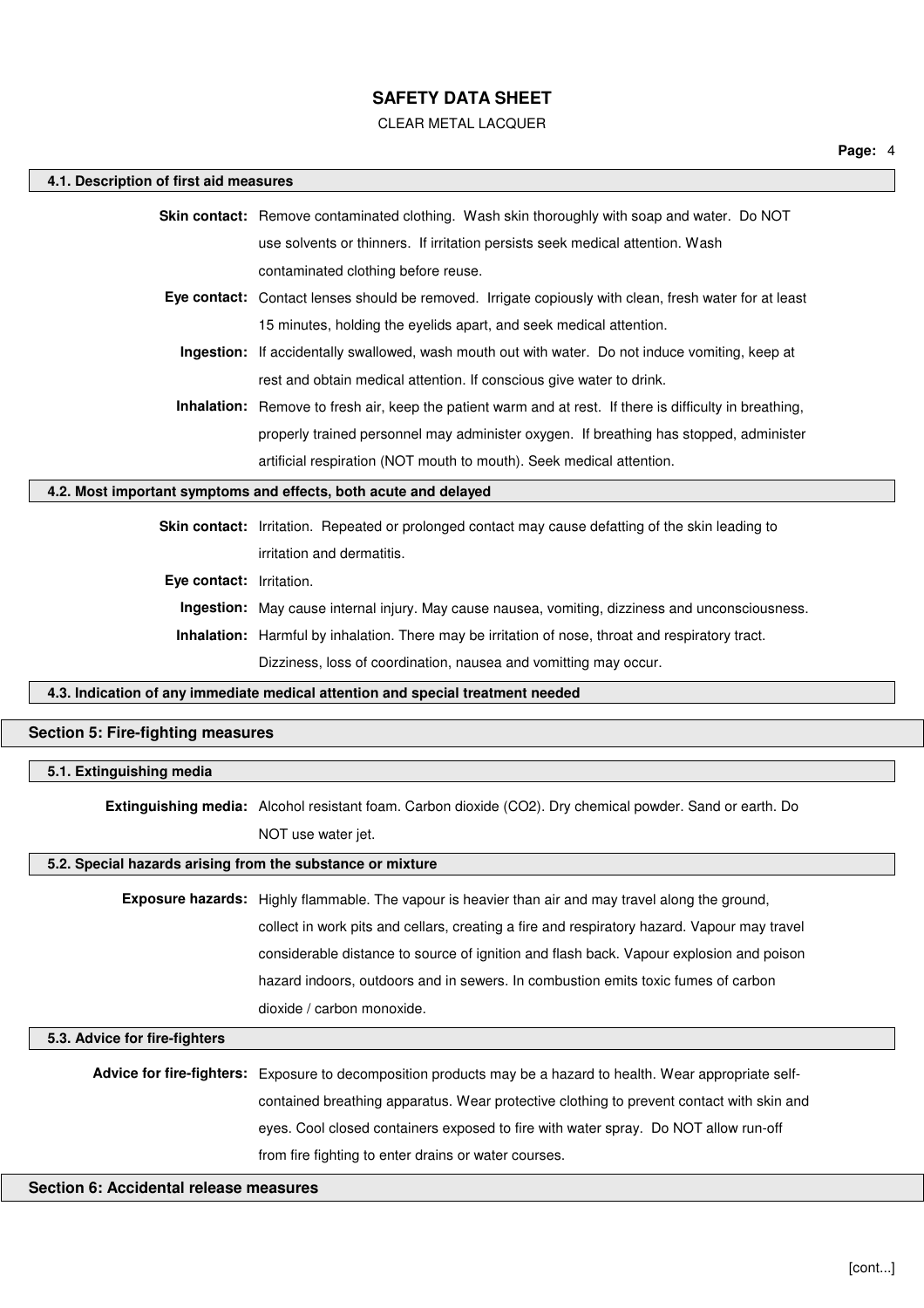### CLEAR METAL LACQUER

| 4.1. Description of first aid measures                     |                                                                                                                                                                                 |
|------------------------------------------------------------|---------------------------------------------------------------------------------------------------------------------------------------------------------------------------------|
|                                                            | Skin contact: Remove contaminated clothing. Wash skin thoroughly with soap and water. Do NOT                                                                                    |
|                                                            | use solvents or thinners. If irritation persists seek medical attention. Wash                                                                                                   |
|                                                            | contaminated clothing before reuse.                                                                                                                                             |
|                                                            | Eye contact: Contact lenses should be removed. Irrigate copiously with clean, fresh water for at least                                                                          |
|                                                            | 15 minutes, holding the eyelids apart, and seek medical attention.                                                                                                              |
|                                                            | Ingestion: If accidentally swallowed, wash mouth out with water. Do not induce vomiting, keep at                                                                                |
|                                                            | rest and obtain medical attention. If conscious give water to drink.                                                                                                            |
|                                                            | Inhalation: Remove to fresh air, keep the patient warm and at rest. If there is difficulty in breathing,                                                                        |
|                                                            | properly trained personnel may administer oxygen. If breathing has stopped, administer                                                                                          |
|                                                            | artificial respiration (NOT mouth to mouth). Seek medical attention.                                                                                                            |
|                                                            | 4.2. Most important symptoms and effects, both acute and delayed                                                                                                                |
|                                                            | Skin contact: Irritation. Repeated or prolonged contact may cause defatting of the skin leading to                                                                              |
|                                                            | irritation and dermatitis.                                                                                                                                                      |
| Eye contact: Irritation.                                   |                                                                                                                                                                                 |
|                                                            | Ingestion: May cause internal injury. May cause nausea, vomiting, dizziness and unconsciousness.                                                                                |
|                                                            | <b>Inhalation:</b> Harmful by inhalation. There may be irritation of nose, throat and respiratory tract.                                                                        |
|                                                            | Dizziness, loss of coordination, nausea and vomitting may occur.                                                                                                                |
|                                                            | 4.3. Indication of any immediate medical attention and special treatment needed                                                                                                 |
| <b>Section 5: Fire-fighting measures</b>                   |                                                                                                                                                                                 |
|                                                            |                                                                                                                                                                                 |
|                                                            |                                                                                                                                                                                 |
| 5.1. Extinguishing media                                   |                                                                                                                                                                                 |
|                                                            | Extinguishing media: Alcohol resistant foam. Carbon dioxide (CO2). Dry chemical powder. Sand or earth. Do                                                                       |
|                                                            | NOT use water jet.                                                                                                                                                              |
| 5.2. Special hazards arising from the substance or mixture |                                                                                                                                                                                 |
|                                                            | Exposure hazards: Highly flammable. The vapour is heavier than air and may travel along the ground,                                                                             |
|                                                            | collect in work pits and cellars, creating a fire and respiratory hazard. Vapour may travel                                                                                     |
|                                                            | considerable distance to source of ignition and flash back. Vapour explosion and poison                                                                                         |
|                                                            | hazard indoors, outdoors and in sewers. In combustion emits toxic fumes of carbon                                                                                               |
|                                                            | dioxide / carbon monoxide.                                                                                                                                                      |
| 5.3. Advice for fire-fighters                              |                                                                                                                                                                                 |
|                                                            |                                                                                                                                                                                 |
|                                                            | Advice for fire-fighters: Exposure to decomposition products may be a hazard to health. Wear appropriate self-                                                                  |
|                                                            | contained breathing apparatus. Wear protective clothing to prevent contact with skin and<br>eyes. Cool closed containers exposed to fire with water spray. Do NOT allow run-off |
|                                                            | from fire fighting to enter drains or water courses.                                                                                                                            |
| Section 6: Accidental release measures                     |                                                                                                                                                                                 |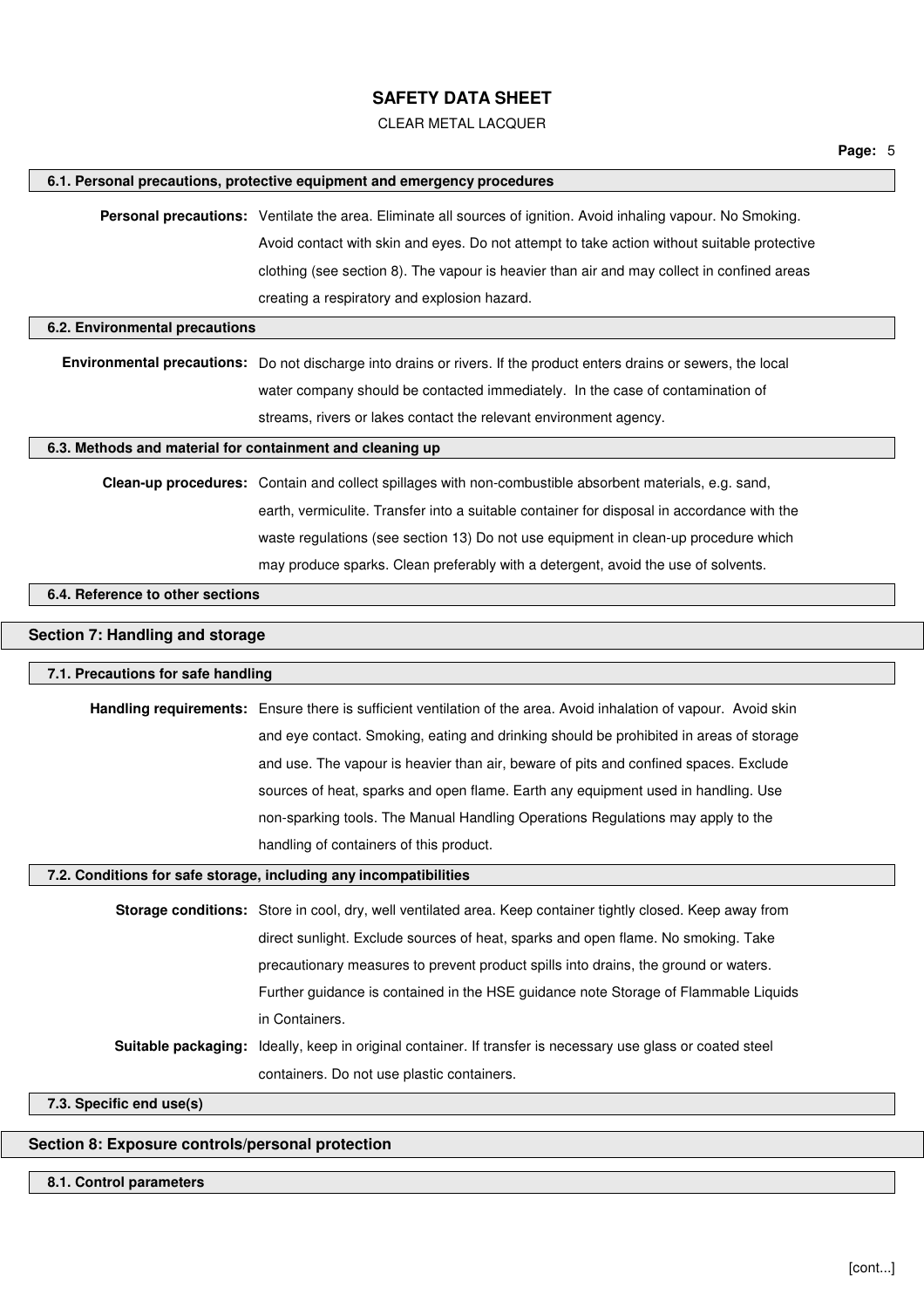### CLEAR METAL LACQUER

|                                                           | 6.1. Personal precautions, protective equipment and emergency procedures                                                                                                  |
|-----------------------------------------------------------|---------------------------------------------------------------------------------------------------------------------------------------------------------------------------|
|                                                           | Personal precautions: Ventilate the area. Eliminate all sources of ignition. Avoid inhaling vapour. No Smoking.                                                           |
|                                                           | Avoid contact with skin and eyes. Do not attempt to take action without suitable protective                                                                               |
|                                                           | clothing (see section 8). The vapour is heavier than air and may collect in confined areas                                                                                |
|                                                           | creating a respiratory and explosion hazard.                                                                                                                              |
| 6.2. Environmental precautions                            |                                                                                                                                                                           |
|                                                           | Environmental precautions: Do not discharge into drains or rivers. If the product enters drains or sewers, the local                                                      |
|                                                           | water company should be contacted immediately. In the case of contamination of                                                                                            |
|                                                           | streams, rivers or lakes contact the relevant environment agency.                                                                                                         |
| 6.3. Methods and material for containment and cleaning up |                                                                                                                                                                           |
|                                                           | Clean-up procedures: Contain and collect spillages with non-combustible absorbent materials, e.g. sand,                                                                   |
|                                                           | earth, vermiculite. Transfer into a suitable container for disposal in accordance with the                                                                                |
|                                                           | waste regulations (see section 13) Do not use equipment in clean-up procedure which                                                                                       |
|                                                           | may produce sparks. Clean preferably with a detergent, avoid the use of solvents.                                                                                         |
| 6.4. Reference to other sections                          |                                                                                                                                                                           |
|                                                           |                                                                                                                                                                           |
| Section 7: Handling and storage                           |                                                                                                                                                                           |
| 7.1. Precautions for safe handling                        |                                                                                                                                                                           |
|                                                           | Handling requirements: Ensure there is sufficient ventilation of the area. Avoid inhalation of vapour. Avoid skin                                                         |
|                                                           | and eye contact. Smoking, eating and drinking should be prohibited in areas of storage                                                                                    |
|                                                           |                                                                                                                                                                           |
|                                                           |                                                                                                                                                                           |
|                                                           | and use. The vapour is heavier than air, beware of pits and confined spaces. Exclude<br>sources of heat, sparks and open flame. Earth any equipment used in handling. Use |
|                                                           | non-sparking tools. The Manual Handling Operations Regulations may apply to the                                                                                           |
|                                                           | handling of containers of this product.                                                                                                                                   |
|                                                           | 7.2. Conditions for safe storage, including any incompatibilities                                                                                                         |
|                                                           |                                                                                                                                                                           |
|                                                           | Storage conditions: Store in cool, dry, well ventilated area. Keep container tightly closed. Keep away from                                                               |
|                                                           | direct sunlight. Exclude sources of heat, sparks and open flame. No smoking. Take                                                                                         |
|                                                           | precautionary measures to prevent product spills into drains, the ground or waters.                                                                                       |
|                                                           | Further guidance is contained in the HSE guidance note Storage of Flammable Liquids                                                                                       |
|                                                           | in Containers.                                                                                                                                                            |
| Suitable packaging:                                       | Ideally, keep in original container. If transfer is necessary use glass or coated steel                                                                                   |
| 7.3. Specific end use(s)                                  | containers. Do not use plastic containers.                                                                                                                                |

## **8.1. Control parameters**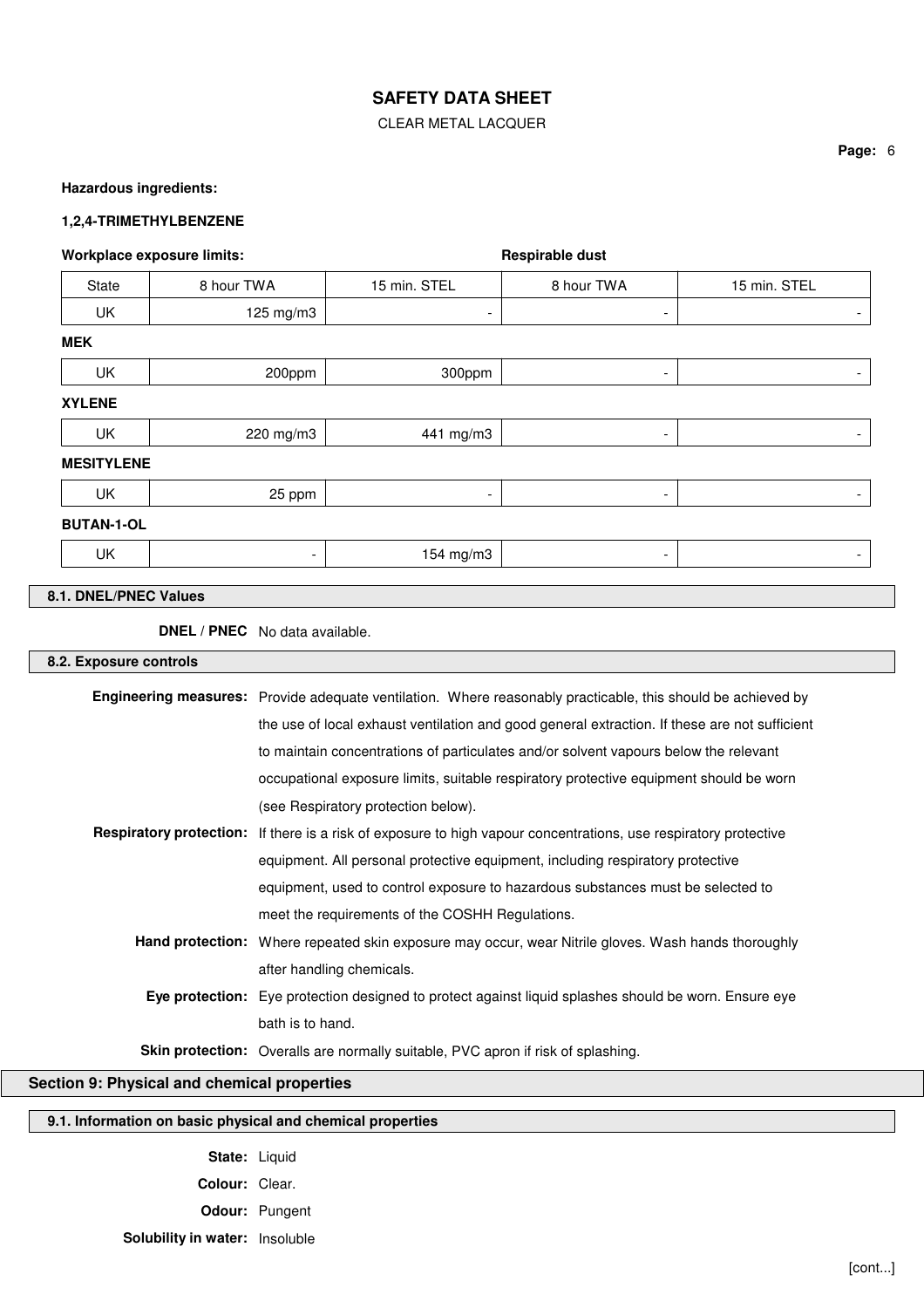#### CLEAR METAL LACQUER

#### **Hazardous ingredients:**

#### **1,2,4-TRIMETHYLBENZENE**

| Workplace exposure limits: |                          |                          | Respirable dust          |                          |
|----------------------------|--------------------------|--------------------------|--------------------------|--------------------------|
| State                      | 8 hour TWA               | 15 min. STEL             | 8 hour TWA               | 15 min. STEL             |
| UK                         | 125 mg/m3                | $\overline{\phantom{a}}$ | -                        | $\overline{\phantom{a}}$ |
| <b>MEK</b>                 |                          |                          |                          |                          |
| <b>UK</b>                  | 200ppm                   | 300ppm                   | -                        | -                        |
| <b>XYLENE</b>              |                          |                          |                          |                          |
| UK                         | 220 mg/m3                | 441 mg/m3                | -                        | $\overline{\phantom{a}}$ |
| <b>MESITYLENE</b>          |                          |                          |                          |                          |
| UK                         | 25 ppm                   | $\overline{\phantom{a}}$ | $\overline{\phantom{a}}$ | $\overline{\phantom{a}}$ |
| <b>BUTAN-1-OL</b>          |                          |                          |                          |                          |
| UK                         | $\overline{\phantom{a}}$ | 154 mg/m3                | $\overline{\phantom{a}}$ | $\overline{\phantom{0}}$ |

**DNEL / PNEC** No data available.

## **8.2. Exposure controls**

| <b>Engineering measures:</b> Provide adequate ventilation. Where reasonably practicable, this should be achieved by     |
|-------------------------------------------------------------------------------------------------------------------------|
| the use of local exhaust ventilation and good general extraction. If these are not sufficient                           |
| to maintain concentrations of particulates and/or solvent vapours below the relevant                                    |
| occupational exposure limits, suitable respiratory protective equipment should be worn                                  |
| (see Respiratory protection below).                                                                                     |
| <b>Respiratory protection:</b> If there is a risk of exposure to high vapour concentrations, use respiratory protective |
| equipment. All personal protective equipment, including respiratory protective                                          |
| equipment, used to control exposure to hazardous substances must be selected to                                         |
| meet the requirements of the COSHH Regulations.                                                                         |
| <b>Hand protection:</b> Where repeated skin exposure may occur, wear Nitrile gloves. Wash hands thoroughly              |
| after handling chemicals.                                                                                               |
| Eye protection: Eye protection designed to protect against liquid splashes should be worn. Ensure eye                   |
| bath is to hand.                                                                                                        |
| <b>Skin protection:</b> Overalls are normally suitable, PVC apron if risk of splashing.                                 |

## **Section 9: Physical and chemical properties**

## **9.1. Information on basic physical and chemical properties**

- **State:** Liquid **Colour:** Clear. **Odour:** Pungent
- **Solubility in water:** Insoluble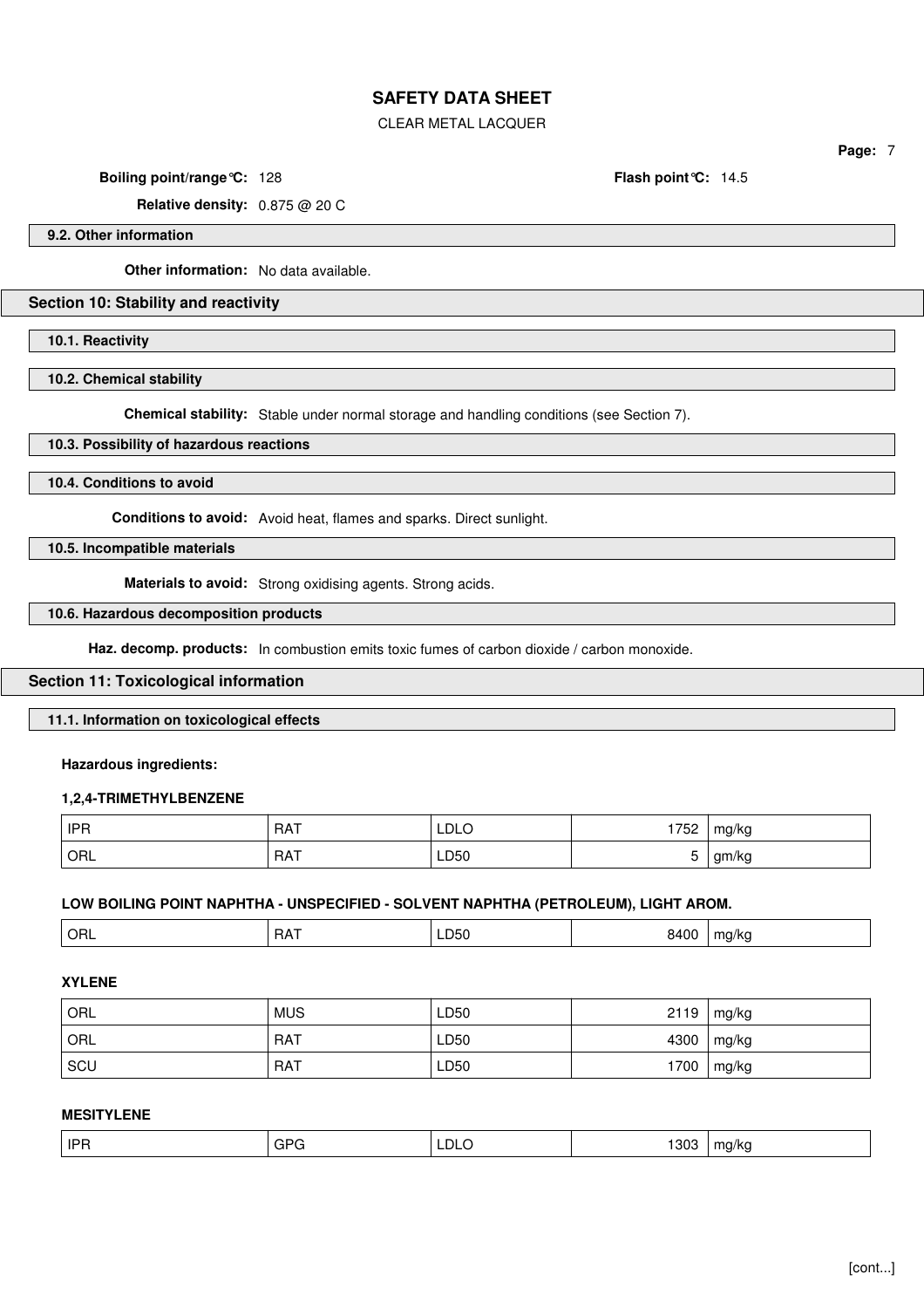CLEAR METAL LACQUER

**Page:** 7

**Boiling point/range°C:** 128 **Flash point°C:** 14.5

**Relative density:** 0.875 @ 20 C

**9.2. Other information**

**Other information:** No data available.

### **Section 10: Stability and reactivity**

**10.1. Reactivity**

**10.2. Chemical stability**

**Chemical stability:** Stable under normal storage and handling conditions (see Section 7).

#### **10.3. Possibility of hazardous reactions**

**10.4. Conditions to avoid**

**Conditions to avoid:** Avoid heat, flames and sparks. Direct sunlight.

**10.5. Incompatible materials**

**Materials to avoid:** Strong oxidising agents. Strong acids.

#### **10.6. Hazardous decomposition products**

Haz. decomp. products: In combustion emits toxic fumes of carbon dioxide / carbon monoxide.

#### **Section 11: Toxicological information**

**11.1. Information on toxicological effects**

#### **Hazardous ingredients:**

#### **1,2,4-TRIMETHYLBENZENE**

| <b>IPR</b> | <b>RAT</b> | <b>LDLO</b> | 1750<br>ے∂ ≀ | mg/kg |
|------------|------------|-------------|--------------|-------|
| ORL        | <b>RAT</b> | LD50        |              | am/ka |

## **LOW BOILING POINT NAPHTHA - UNSPECIFIED - SOLVENT NAPHTHA (PETROLEUM), LIGHT AROM.**

| 0.100<br>. .<br>. .<br>' OR∟<br>LD50<br>ha/ka<br>. .<br>. הוי<br>.<br>. . |
|---------------------------------------------------------------------------|
|---------------------------------------------------------------------------|

## **XYLENE**

| <b>ORL</b> | <b>MUS</b> | LD50 | 2119 | mg/kg |
|------------|------------|------|------|-------|
| ORL        | <b>RAT</b> | LD50 | 4300 | mg/kg |
| SCU        | <b>RAT</b> | LD50 | 1700 | mg/kg |

### **MESITYLENE**

| <b>IPR</b> | $\sim$<br>Gł | LDLO | _ פ∩פ<br>່ ວບ<br>$ -$ | m٥<br>ว/kc<br>$\sim$ |
|------------|--------------|------|-----------------------|----------------------|
|------------|--------------|------|-----------------------|----------------------|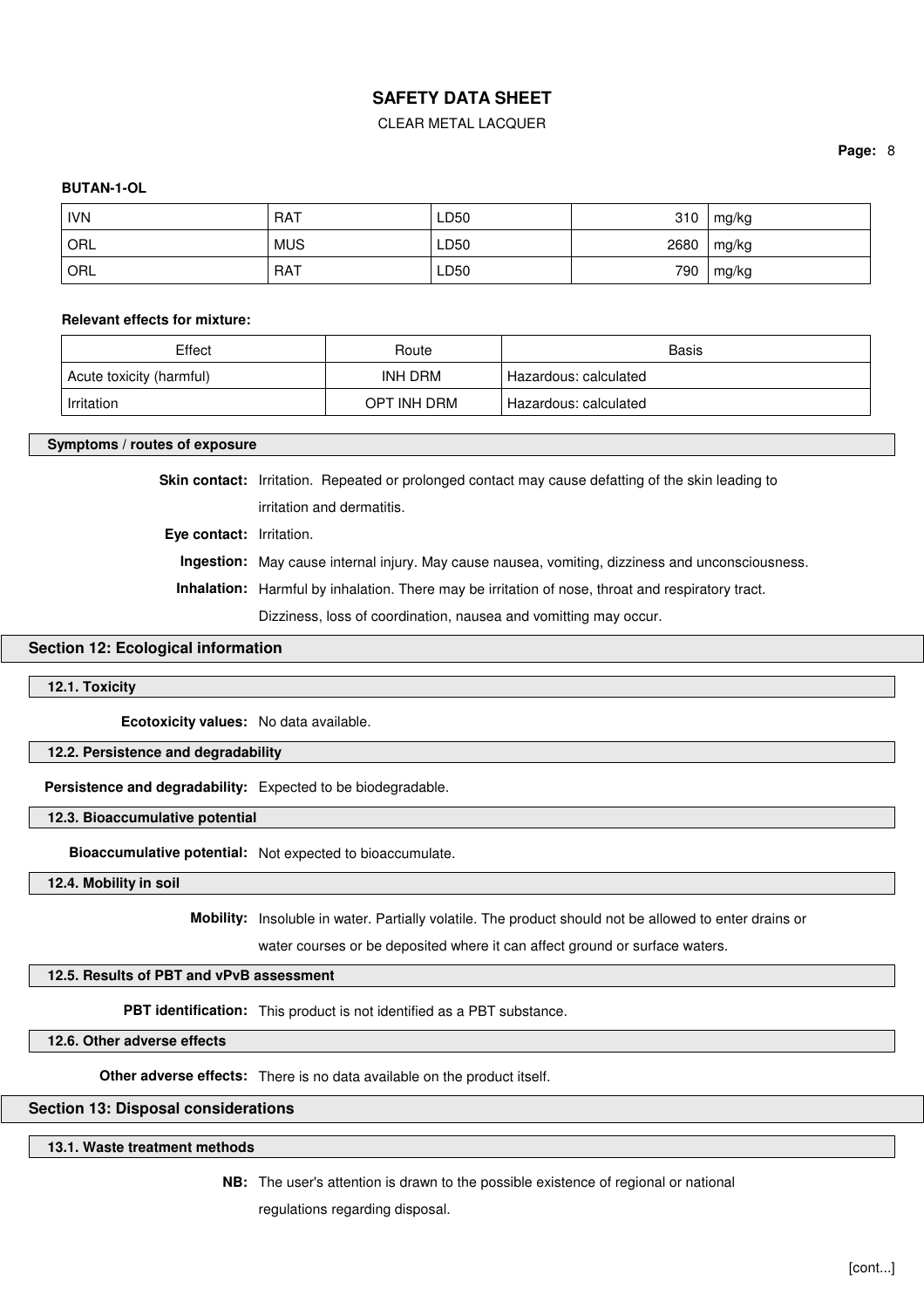#### CLEAR METAL LACQUER

#### **Page:** 8

#### **BUTAN-1-OL**

| <b>IVN</b> | <b>RAT</b> | LD50 | 310  | mg/kg |
|------------|------------|------|------|-------|
| ORL        | <b>MUS</b> | LD50 | 2680 | mg/kg |
| ORL        | <b>RAT</b> | LD50 | 790  | mg/kg |

#### **Relevant effects for mixture:**

| Effect                   | Route       | Basis                   |
|--------------------------|-------------|-------------------------|
| Acute toxicity (harmful) | INH DRM     | ' Hazardous: calculated |
| Irritation               | OPT INH DRM | Hazardous: calculated   |

#### **Symptoms / routes of exposure**

**Skin contact:** Irritation. Repeated or prolonged contact may cause defatting of the skin leading to irritation and dermatitis.

**Eye contact:** Irritation.

**Ingestion:** May cause internal injury. May cause nausea, vomiting, dizziness and unconsciousness.

**Inhalation:** Harmful by inhalation. There may be irritation of nose, throat and respiratory tract.

Dizziness, loss of coordination, nausea and vomitting may occur.

### **Section 12: Ecological information**

#### **12.1. Toxicity**

**Ecotoxicity values:** No data available.

#### **12.2. Persistence and degradability**

**Persistence and degradability:** Expected to be biodegradable.

**12.3. Bioaccumulative potential**

**Bioaccumulative potential:** Not expected to bioaccumulate.

### **12.4. Mobility in soil**

**Mobility:** Insoluble in water. Partially volatile. The product should not be allowed to enter drains or

water courses or be deposited where it can affect ground or surface waters.

### **12.5. Results of PBT and vPvB assessment**

**PBT identification:** This product is not identified as a PBT substance.

**12.6. Other adverse effects**

**Other adverse effects:** There is no data available on the product itself.

### **Section 13: Disposal considerations**

### **13.1. Waste treatment methods**

**NB:** The user's attention is drawn to the possible existence of regional or national

regulations regarding disposal.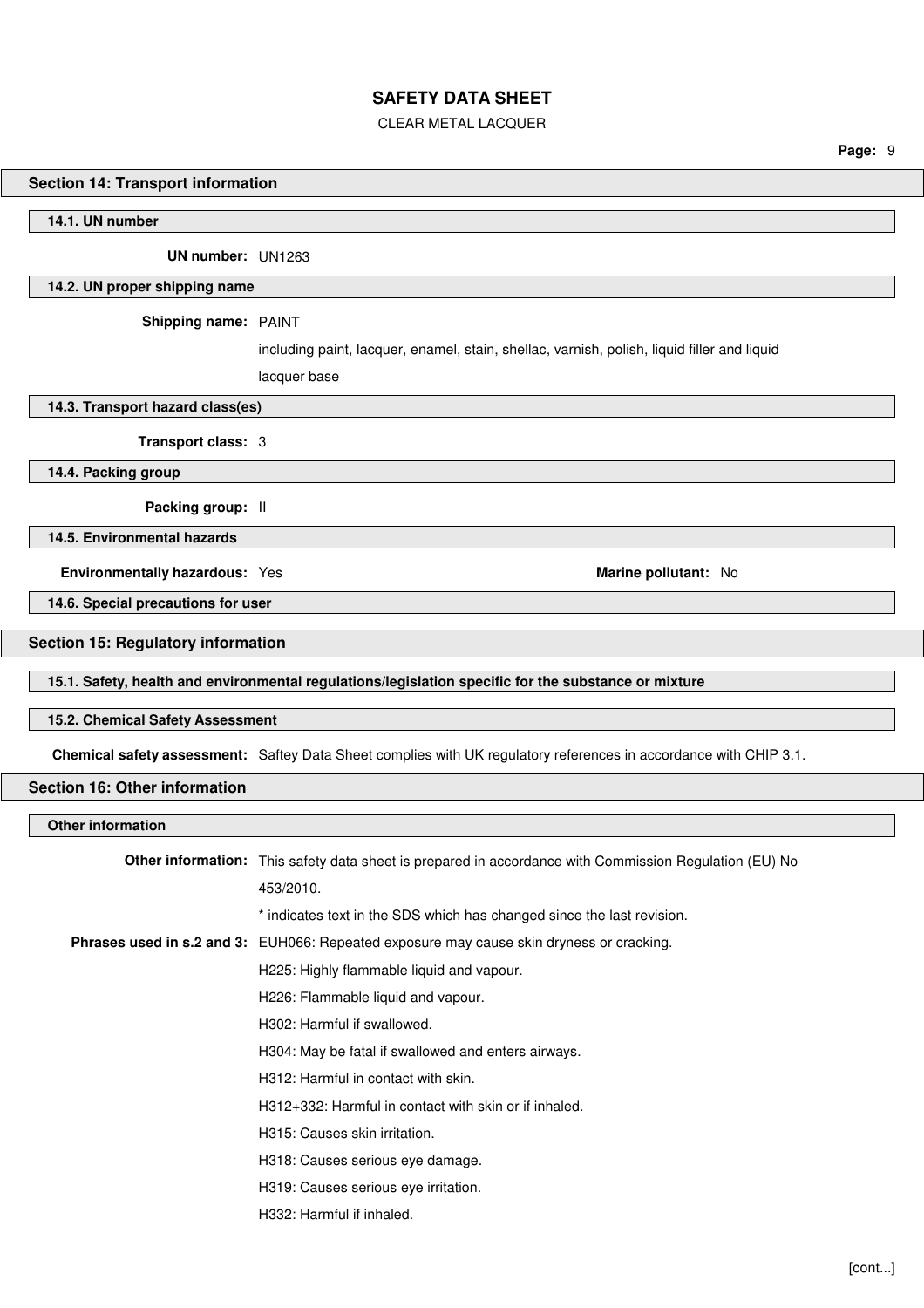CLEAR METAL LACQUER

**Page:** 9

#### **Section 14: Transport information**

#### **14.1. UN number**

**UN number:** UN1263

#### **14.2. UN proper shipping name**

**Shipping name:** PAINT

including paint, lacquer, enamel, stain, shellac, varnish, polish, liquid filler and liquid

lacquer base

**14.3. Transport hazard class(es)**

**Transport class:** 3

**14.4. Packing group**

**Packing group:** II

**14.5. Environmental hazards**

**Environmentally hazardous:** Yes **Marine pollutant:** No

# **14.6. Special precautions for user**

### **Section 15: Regulatory information**

**15.1. Safety, health and environmental regulations/legislation specific for the substance or mixture**

#### **15.2. Chemical Safety Assessment**

**Chemical safety assessment:** Saftey Data Sheet complies with UK regulatory references in accordance with CHIP 3.1.

#### **Section 16: Other information**

### **Other information**

| Other information: This safety data sheet is prepared in accordance with Commission Regulation (EU) No |
|--------------------------------------------------------------------------------------------------------|
| 453/2010.                                                                                              |
| * indicates text in the SDS which has changed since the last revision.                                 |
| <b>Phrases used in s.2 and 3:</b> EUH066: Repeated exposure may cause skin dryness or cracking.        |
| H225: Highly flammable liquid and vapour.                                                              |
| H226: Flammable liquid and vapour.                                                                     |
| H302: Harmful if swallowed.                                                                            |
| H304: May be fatal if swallowed and enters airways.                                                    |
| H312: Harmful in contact with skin.                                                                    |
| H312+332: Harmful in contact with skin or if inhaled.                                                  |
| H315: Causes skin irritation.                                                                          |
| H318: Causes serious eye damage.                                                                       |
| H319: Causes serious eye irritation.                                                                   |
| H332: Harmful if inhaled.                                                                              |
|                                                                                                        |